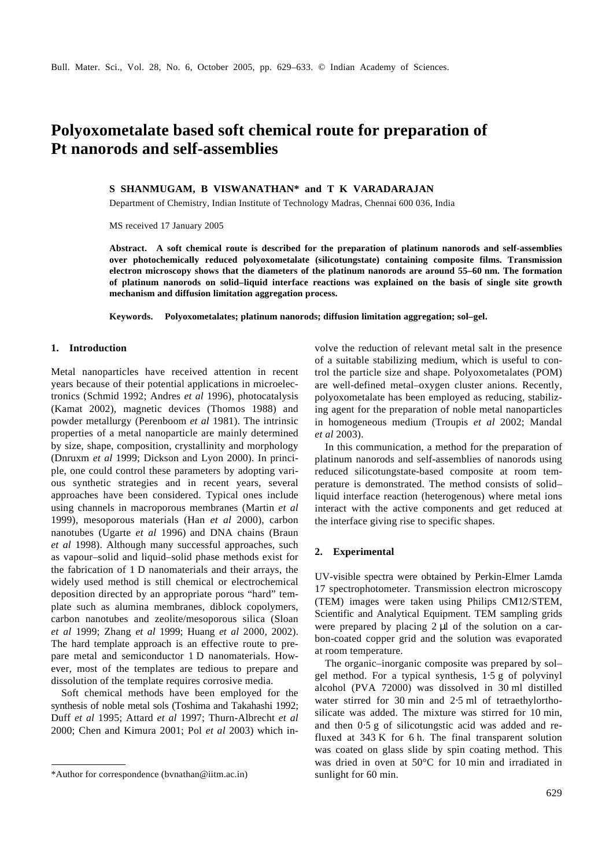# **Polyoxometalate based soft chemical route for preparation of Pt nanorods and self-assemblies**

## **S SHANMUGAM, B VISWANATHAN\* and T K VARADARAJAN**

Department of Chemistry, Indian Institute of Technology Madras, Chennai 600 036, India

MS received 17 January 2005

**Abstract. A soft chemical route is described for the preparation of platinum nanorods and self-assemblies over photochemically reduced polyoxometalate (silicotungstate) containing composite films. Transmission electron microscopy shows that the diameters of the platinum nanorods are around 55–60 nm. The formation of platinum nanorods on solid–liquid interface reactions was explained on the basis of single site growth mechanism and diffusion limitation aggregation process.**

**Keywords. Polyoxometalates; platinum nanorods; diffusion limitation aggregation; sol–gel.**

## **1. Introduction**

Metal nanoparticles have received attention in recent years because of their potential applications in microelectronics (Schmid 1992; Andres *et al* 1996), photocatalysis (Kamat 2002), magnetic devices (Thomos 1988) and powder metallurgy (Perenboom *et al* 1981). The intrinsic properties of a metal nanoparticle are mainly determined by size, shape, composition, crystallinity and morphology (Dnruxm *et al* 1999; Dickson and Lyon 2000). In principle, one could control these parameters by adopting various synthetic strategies and in recent years, several approaches have been considered. Typical ones include using channels in macroporous membranes (Martin *et al* 1999), mesoporous materials (Han *et al* 2000), carbon nanotubes (Ugarte *et al* 1996) and DNA chains (Braun *et al* 1998). Although many successful approaches, such as vapour–solid and liquid–solid phase methods exist for the fabrication of 1 D nanomaterials and their arrays, the widely used method is still chemical or electrochemical deposition directed by an appropriate porous "hard" template such as alumina membranes, diblock copolymers, carbon nanotubes and zeolite/mesoporous silica (Sloan *et al* 1999; Zhang *et al* 1999; Huang *et al* 2000, 2002). The hard template approach is an effective route to prepare metal and semiconductor 1 D nanomaterials. However, most of the templates are tedious to prepare and dissolution of the template requires corrosive media.

Soft chemical methods have been employed for the synthesis of noble metal sols (Toshima and Takahashi 1992; Duff *et al* 1995; Attard *et al* 1997; Thurn-Albrecht *et al* 2000; Chen and Kimura 2001; Pol *et al* 2003) which involve the reduction of relevant metal salt in the presence of a suitable stabilizing medium, which is useful to control the particle size and shape. Polyoxometalates (POM) are well-defined metal–oxygen cluster anions. Recently, polyoxometalate has been employed as reducing, stabilizing agent for the preparation of noble metal nanoparticles in homogeneous medium (Troupis *et al* 2002; Mandal *et al* 2003).

In this communication, a method for the preparation of platinum nanorods and self-assemblies of nanorods using reduced silicotungstate-based composite at room temperature is demonstrated. The method consists of solid– liquid interface reaction (heterogenous) where metal ions interact with the active components and get reduced at the interface giving rise to specific shapes.

#### **2. Experimental**

UV-visible spectra were obtained by Perkin-Elmer Lamda 17 spectrophotometer. Transmission electron microscopy (TEM) images were taken using Philips CM12/STEM, Scientific and Analytical Equipment. TEM sampling grids were prepared by placing 2 μl of the solution on a carbon-coated copper grid and the solution was evaporated at room temperature.

The organic–inorganic composite was prepared by sol– gel method. For a typical synthesis, 1⋅5 g of polyvinyl alcohol (PVA 72000) was dissolved in 30 ml distilled water stirred for 30 min and 2⋅5 ml of tetraethylorthosilicate was added. The mixture was stirred for 10 min, and then 0⋅5 g of silicotungstic acid was added and refluxed at 343 K for 6 h. The final transparent solution was coated on glass slide by spin coating method. This was dried in oven at 50°C for 10 min and irradiated in

<sup>\*</sup>Author for correspondence (bvnathan@iitm.ac.in) sunlight for 60 min.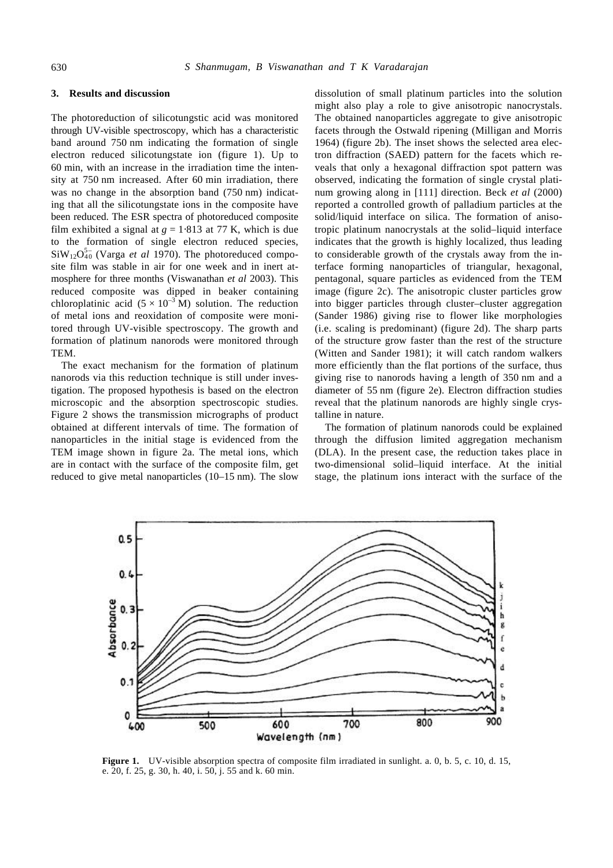## **3. Results and discussion**

The photoreduction of silicotungstic acid was monitored through UV-visible spectroscopy, which has a characteristic band around 750 nm indicating the formation of single electron reduced silicotungstate ion (figure 1). Up to 60 min, with an increase in the irradiation time the intensity at 750 nm increased. After 60 min irradiation, there was no change in the absorption band (750 nm) indicating that all the silicotungstate ions in the composite have been reduced. The ESR spectra of photoreduced composite film exhibited a signal at  $g = 1.813$  at 77 K, which is due to the formation of single electron reduced species,  $\text{SiW}_{12}\text{O}_{40}^{5-}$  (Varga *et al* 1970). The photoreduced composite film was stable in air for one week and in inert atmosphere for three months (Viswanathan *et al* 2003). This reduced composite was dipped in beaker containing chloroplatinic acid  $(5 \times 10^{-3} \text{ M})$  solution. The reduction of metal ions and reoxidation of composite were monitored through UV-visible spectroscopy. The growth and formation of platinum nanorods were monitored through TEM.

The exact mechanism for the formation of platinum nanorods via this reduction technique is still under investigation. The proposed hypothesis is based on the electron microscopic and the absorption spectroscopic studies. Figure 2 shows the transmission micrographs of product obtained at different intervals of time. The formation of nanoparticles in the initial stage is evidenced from the TEM image shown in figure 2a. The metal ions, which are in contact with the surface of the composite film, get reduced to give metal nanoparticles (10–15 nm). The slow dissolution of small platinum particles into the solution might also play a role to give anisotropic nanocrystals. The obtained nanoparticles aggregate to give anisotropic facets through the Ostwald ripening (Milligan and Morris 1964) (figure 2b). The inset shows the selected area electron diffraction (SAED) pattern for the facets which reveals that only a hexagonal diffraction spot pattern was observed, indicating the formation of single crystal platinum growing along in [111] direction. Beck *et al* (2000) reported a controlled growth of palladium particles at the solid/liquid interface on silica. The formation of anisotropic platinum nanocrystals at the solid–liquid interface indicates that the growth is highly localized, thus leading to considerable growth of the crystals away from the interface forming nanoparticles of triangular, hexagonal, pentagonal, square particles as evidenced from the TEM image (figure 2c). The anisotropic cluster particles grow into bigger particles through cluster–cluster aggregation (Sander 1986) giving rise to flower like morphologies (i.e. scaling is predominant) (figure 2d). The sharp parts of the structure grow faster than the rest of the structure (Witten and Sander 1981); it will catch random walkers more efficiently than the flat portions of the surface, thus giving rise to nanorods having a length of 350 nm and a diameter of 55 nm (figure 2e). Electron diffraction studies reveal that the platinum nanorods are highly single crystalline in nature.

The formation of platinum nanorods could be explained through the diffusion limited aggregation mechanism (DLA). In the present case, the reduction takes place in two-dimensional solid–liquid interface. At the initial stage, the platinum ions interact with the surface of the



**Figure 1.** UV-visible absorption spectra of composite film irradiated in sunlight. a. 0, b. 5, c. 10, d. 15, e. 20, f. 25, g. 30, h. 40, i. 50, j. 55 and k. 60 min.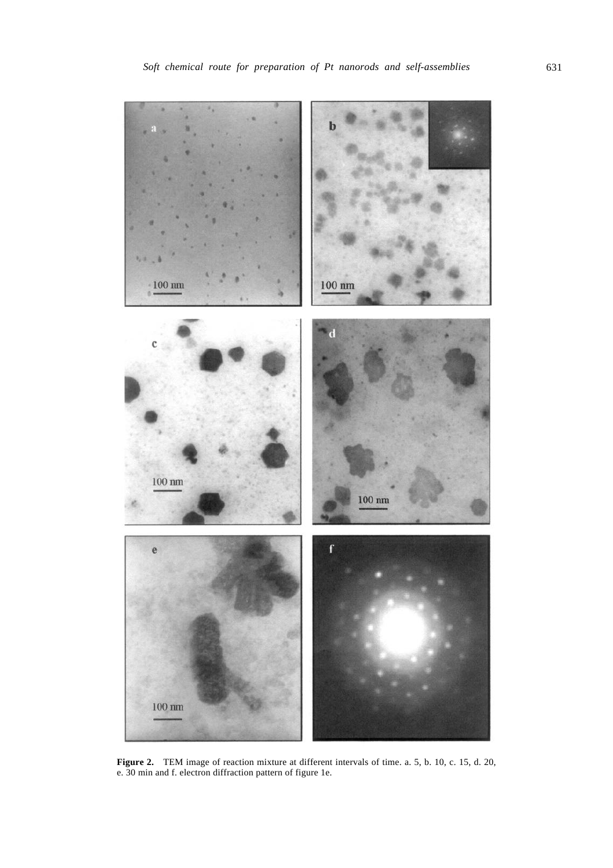

**Figure 2.** TEM image of reaction mixture at different intervals of time. a. 5, b. 10, c. 15, d. 20, e. 30 min and f. electron diffraction pattern of figure 1e.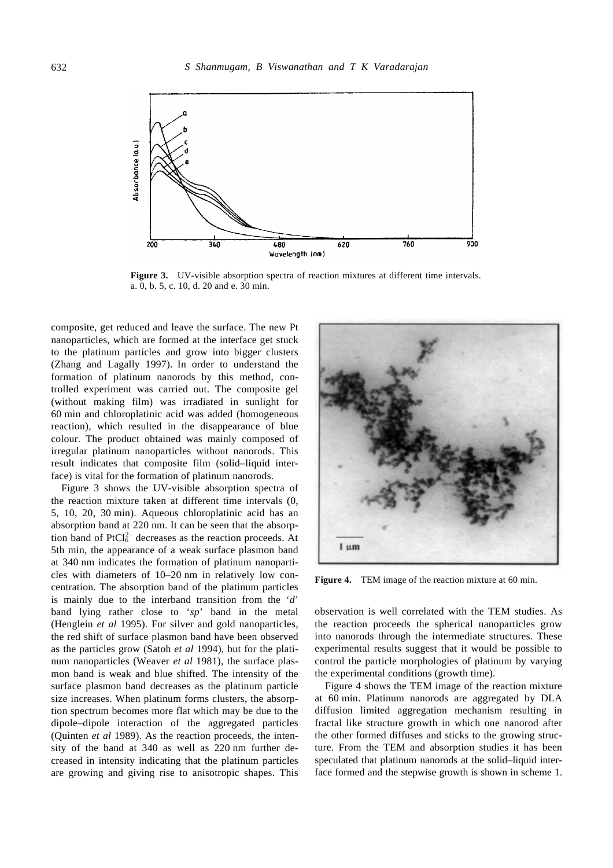

**Figure 3.** UV-visible absorption spectra of reaction mixtures at different time intervals. a. 0, b. 5, c. 10, d. 20 and e. 30 min.

composite, get reduced and leave the surface. The new Pt nanoparticles, which are formed at the interface get stuck to the platinum particles and grow into bigger clusters (Zhang and Lagally 1997). In order to understand the formation of platinum nanorods by this method, controlled experiment was carried out. The composite gel (without making film) was irradiated in sunlight for 60 min and chloroplatinic acid was added (homogeneous reaction), which resulted in the disappearance of blue colour. The product obtained was mainly composed of irregular platinum nanoparticles without nanorods. This result indicates that composite film (solid–liquid interface) is vital for the formation of platinum nanorods.

Figure 3 shows the UV-visible absorption spectra of the reaction mixture taken at different time intervals (0, 5, 10, 20, 30 min). Aqueous chloroplatinic acid has an absorption band at 220 nm. It can be seen that the absorption band of  $PtCl<sub>6</sub><sup>2-</sup> decreases as the reaction proceeds. At$ 5th min, the appearance of a weak surface plasmon band at 340 nm indicates the formation of platinum nanoparticles with diameters of 10–20 nm in relatively low concentration. The absorption band of the platinum particles is mainly due to the interband transition from the '*d*' band lying rather close to '*sp*' band in the metal (Henglein *et al* 1995). For silver and gold nanoparticles, the red shift of surface plasmon band have been observed as the particles grow (Satoh *et al* 1994), but for the platinum nanoparticles (Weaver *et al* 1981), the surface plasmon band is weak and blue shifted. The intensity of the surface plasmon band decreases as the platinum particle size increases. When platinum forms clusters, the absorption spectrum becomes more flat which may be due to the dipole–dipole interaction of the aggregated particles (Quinten *et al* 1989). As the reaction proceeds, the intensity of the band at 340 as well as 220 nm further decreased in intensity indicating that the platinum particles are growing and giving rise to anisotropic shapes. This



**Figure 4.** TEM image of the reaction mixture at 60 min.

observation is well correlated with the TEM studies. As the reaction proceeds the spherical nanoparticles grow into nanorods through the intermediate structures. These experimental results suggest that it would be possible to control the particle morphologies of platinum by varying the experimental conditions (growth time).

Figure 4 shows the TEM image of the reaction mixture at 60 min. Platinum nanorods are aggregated by DLA diffusion limited aggregation mechanism resulting in fractal like structure growth in which one nanorod after the other formed diffuses and sticks to the growing structure. From the TEM and absorption studies it has been speculated that platinum nanorods at the solid–liquid interface formed and the stepwise growth is shown in scheme 1.